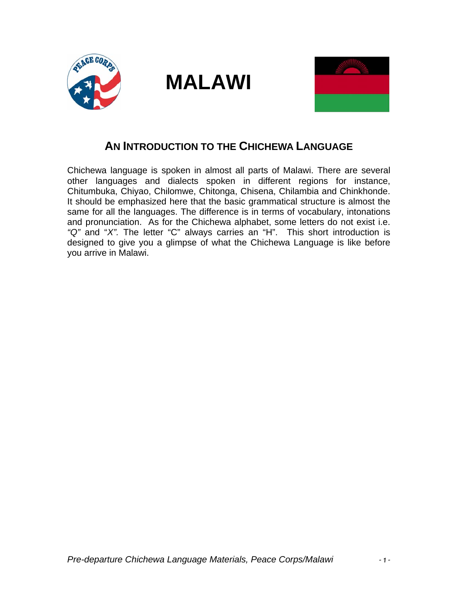





## **AN INTRODUCTION TO THE CHICHEWA LANGUAGE**

Chichewa language is spoken in almost all parts of Malawi. There are several other languages and dialects spoken in different regions for instance, Chitumbuka, Chiyao, Chilomwe, Chitonga, Chisena, Chilambia and Chinkhonde. It should be emphasized here that the basic grammatical structure is almost the same for all the languages. The difference is in terms of vocabulary, intonations and pronunciation. As for the Chichewa alphabet, some letters do not exist i.e. *"Q"* and "*X".* The letter "C" always carries an "H". This short introduction is designed to give you a glimpse of what the Chichewa Language is like before you arrive in Malawi.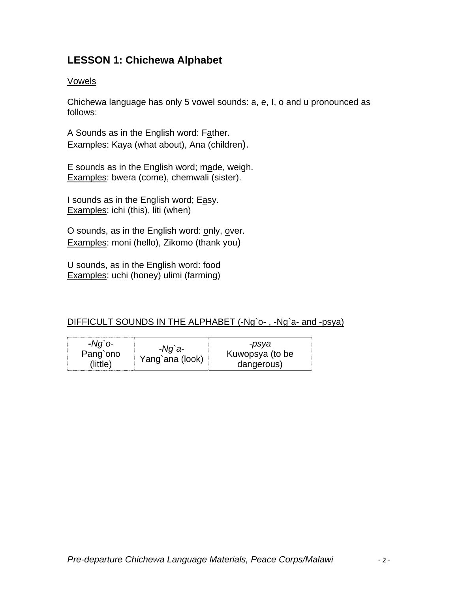### **LESSON 1: Chichewa Alphabet**

#### Vowels

Chichewa language has only 5 vowel sounds: a, e, I, o and u pronounced as follows:

A Sounds as in the English word: Father. Examples: Kaya (what about), Ana (children).

E sounds as in the English word; made, weigh. Examples: bwera (come), chemwali (sister).

I sounds as in the English word; Easy. Examples: ichi (this), liti (when)

O sounds, as in the English word: only, over. Examples: moni (hello), Zikomo (thank you)

U sounds, as in the English word: food Examples: uchi (honey) ulimi (farming)

#### DIFFICULT SOUNDS IN THE ALPHABET (-Ng`o- , -Ng`a- and -psya)

| $-Nq$ `o-<br>$-Ng$ `a-<br>Pang`ono<br>Yang`ana (look)<br>(little) | -psya<br>Kuwopsya (to be<br>dangerous) |
|-------------------------------------------------------------------|----------------------------------------|
|-------------------------------------------------------------------|----------------------------------------|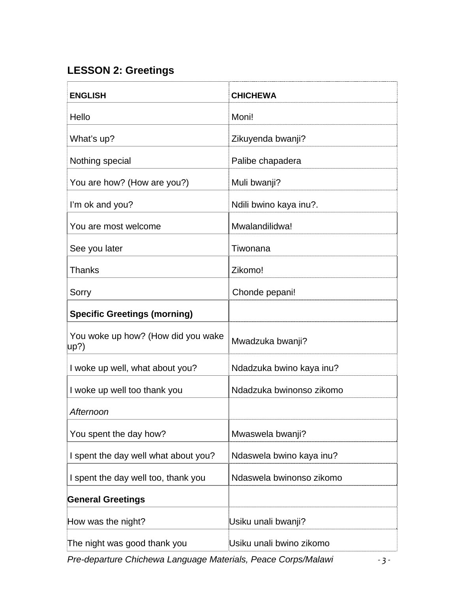# **LESSON 2: Greetings**

| <b>ENGLISH</b>                                     | <b>CHICHEWA</b>          |
|----------------------------------------------------|--------------------------|
| Hello                                              | Moni!                    |
| What's up?                                         | Zikuyenda bwanji?        |
| Nothing special                                    | Palibe chapadera         |
| You are how? (How are you?)                        | Muli bwanji?             |
| I'm ok and you?                                    | Ndili bwino kaya inu?.   |
| You are most welcome                               | Mwalandilidwa!           |
| See you later                                      | Tiwonana                 |
| <b>Thanks</b>                                      | Zikomo!                  |
| Sorry                                              | Chonde pepani!           |
| <b>Specific Greetings (morning)</b>                |                          |
| You woke up how? (How did you wake<br>$\vert$ up?) | Mwadzuka bwanji?         |
| I woke up well, what about you?                    | Ndadzuka bwino kaya inu? |
| I woke up well too thank you                       | Ndadzuka bwinonso zikomo |
| Afternoon                                          |                          |
| You spent the day how?                             | Mwaswela bwanji?         |
| I spent the day well what about you?               | Ndaswela bwino kaya inu? |
| I spent the day well too, thank you                | Ndaswela bwinonso zikomo |
| <b>General Greetings</b>                           |                          |
| How was the night?                                 | Usiku unali bwanji?      |
| The night was good thank you                       | Usiku unali bwino zikomo |

*Pre-departure Chichewa Language Materials, Peace Corps/Malawi ‐ 3 ‐*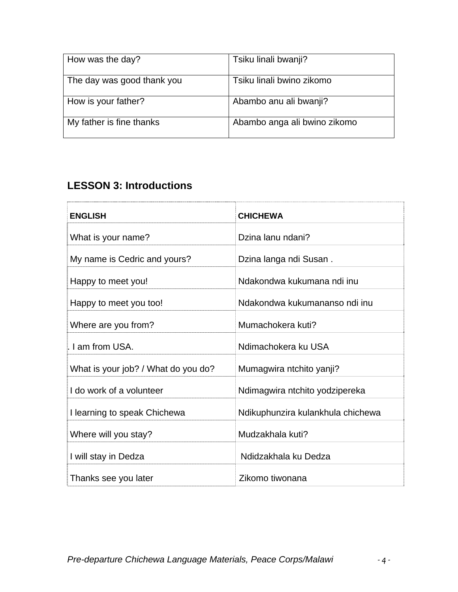| How was the day?           | Tsiku linali bwanji?         |
|----------------------------|------------------------------|
| The day was good thank you | Tsiku linali bwino zikomo    |
| How is your father?        | Abambo anu ali bwanji?       |
| My father is fine thanks   | Abambo anga ali bwino zikomo |

## **LESSON 3: Introductions**

| <b>ENGLISH</b>                      | <b>CHICHEWA</b>                   |
|-------------------------------------|-----------------------------------|
| What is your name?                  | Dzina lanu ndani?                 |
| My name is Cedric and yours?        | Dzina langa ndi Susan.            |
| Happy to meet you!                  | Ndakondwa kukumana ndi inu        |
| Happy to meet you too!              | Ndakondwa kukumananso ndi inu     |
| Where are you from?                 | Mumachokera kuti?                 |
| . I am from USA.                    | Ndimachokera ku USA               |
| What is your job? / What do you do? | Mumagwira ntchito yanji?          |
| I do work of a volunteer            | Ndimagwira ntchito yodzipereka    |
| I learning to speak Chichewa        | Ndikuphunzira kulankhula chichewa |
| Where will you stay?                | Mudzakhala kuti?                  |
| I will stay in Dedza                | Ndidzakhala ku Dedza              |
| Thanks see you later                | Zikomo tiwonana                   |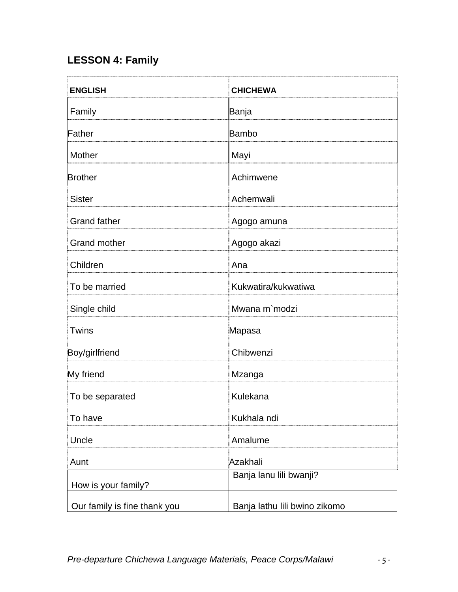# **LESSON 4: Family**

| <b>ENGLISH</b>               | <b>CHICHEWA</b>               |
|------------------------------|-------------------------------|
| Family                       | Banja                         |
| Father                       | Bambo                         |
| <b>Mother</b>                | Mayi                          |
| <b>Brother</b>               | Achimwene                     |
| <b>Sister</b>                | Achemwali                     |
| <b>Grand father</b>          | Agogo amuna                   |
| <b>Grand mother</b>          | Agogo akazi                   |
| Children                     | Ana                           |
| To be married                | Kukwatira/kukwatiwa           |
| Single child                 | Mwana m`modzi                 |
| Twins                        | Mapasa                        |
| Boy/girlfriend               | Chibwenzi                     |
| My friend                    | Mzanga                        |
| To be separated              | Kulekana                      |
| To have                      | Kukhala ndi                   |
| Uncle                        | Amalume                       |
| Aunt                         | Azakhali                      |
| How is your family?          | Banja lanu lili bwanji?       |
| Our family is fine thank you | Banja lathu lili bwino zikomo |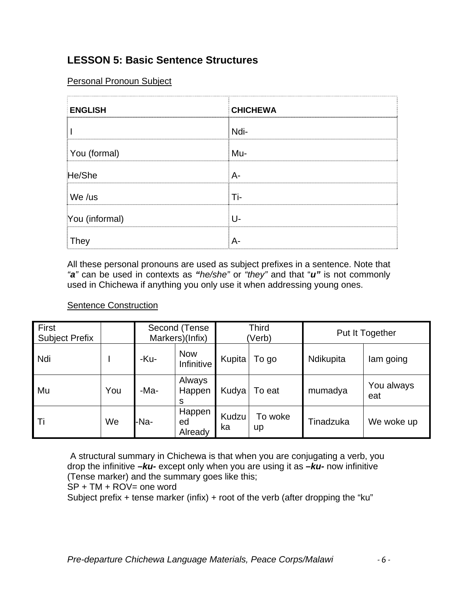### **LESSON 5: Basic Sentence Structures**

#### Personal Pronoun Subject

| <b>ENGLISH</b> | <b>CHICHEWA</b> |
|----------------|-----------------|
|                | Ndi-            |
| You (formal)   | Mu-             |
| He/She         | A-              |
| We /us         | Ti-             |
| You (informal) | U-              |
| <b>They</b>    | $A-$            |

All these personal pronouns are used as subject prefixes in a sentence. Note that *"a"* can be used in contexts as *"he/she"* or *"they"* and that "*u"* is not commonly used in Chichewa if anything you only use it when addressing young ones.

#### Sentence Construction

| First<br><b>Subject Prefix</b> |     | Second (Tense<br>Markers)(Infix) |                          | <b>Third</b><br>(Verb) |               | Put It Together |                   |
|--------------------------------|-----|----------------------------------|--------------------------|------------------------|---------------|-----------------|-------------------|
| Ndi                            |     | -Ku-                             | <b>Now</b><br>Infinitive | Kupita                 | To go         | Ndikupita       | lam going         |
| Mu                             | You | -Ma-                             | Always<br>Happen<br>S    | Kudya                  | To eat        | mumadya         | You always<br>eat |
| -Ti                            | We  | -Na-                             | Happen<br>ed<br>Already  | Kudzu<br>ka            | To woke<br>up | Tinadzuka       | We woke up        |

A structural summary in Chichewa is that when you are conjugating a verb, you drop the infinitive *–ku-* except only when you are using it as *–ku-* now infinitive (Tense marker) and the summary goes like this;

 $SP + TM + ROV =$  one word

Subject prefix + tense marker (infix) + root of the verb (after dropping the "ku"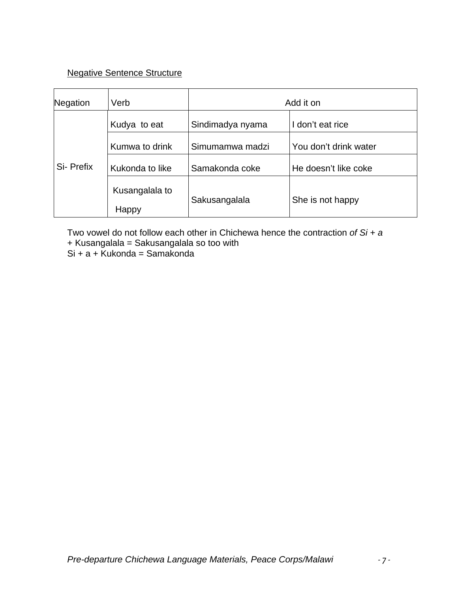#### Negative Sentence Structure

| Negation  | Verb                    | Add it on        |                       |  |
|-----------|-------------------------|------------------|-----------------------|--|
|           | Kudya to eat            | Sindimadya nyama | I don't eat rice      |  |
|           | Kumwa to drink          | Simumamwa madzi  | You don't drink water |  |
| Si-Prefix | Kukonda to like         | Samakonda coke   | He doesn't like coke  |  |
|           | Kusangalala to<br>Happy | Sakusangalala    | She is not happy      |  |

Two vowel do not follow each other in Chichewa hence the contraction *of Si + a* + Kusangalala = Sakusangalala so too with

 $Si + a + Kukonda = Samakonda$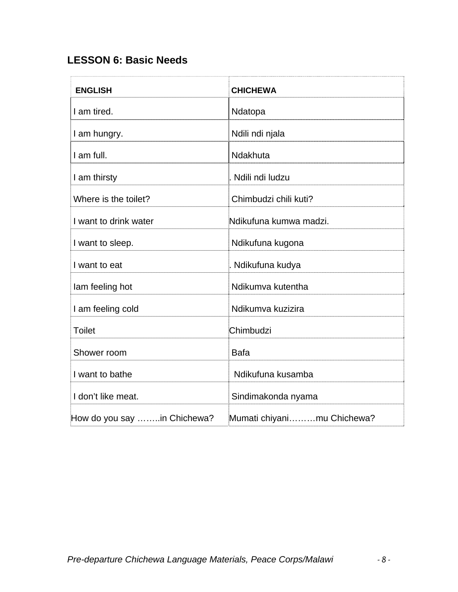## **LESSON 6: Basic Needs**

| <b>ENGLISH</b>              | <b>CHICHEWA</b>            |
|-----------------------------|----------------------------|
| I am tired.                 | Ndatopa                    |
| I am hungry.                | Ndili ndi njala            |
| I am full.                  | Ndakhuta                   |
| I am thirsty                | Ndili ndi ludzu            |
| Where is the toilet?        | Chimbudzi chili kuti?      |
| I want to drink water       | Ndikufuna kumwa madzi.     |
| I want to sleep.            | Ndikufuna kugona           |
| I want to eat               | . Ndikufuna kudya          |
| lam feeling hot             | Ndikumva kutentha          |
| I am feeling cold           | Ndikumva kuzizira          |
| <b>Toilet</b>               | Chimbudzi                  |
| Shower room                 | <b>Bafa</b>                |
| I want to bathe             | Ndikufuna kusamba          |
| I don't like meat.          | Sindimakonda nyama         |
| How do you say in Chichewa? | Mumati chiyanimu Chichewa? |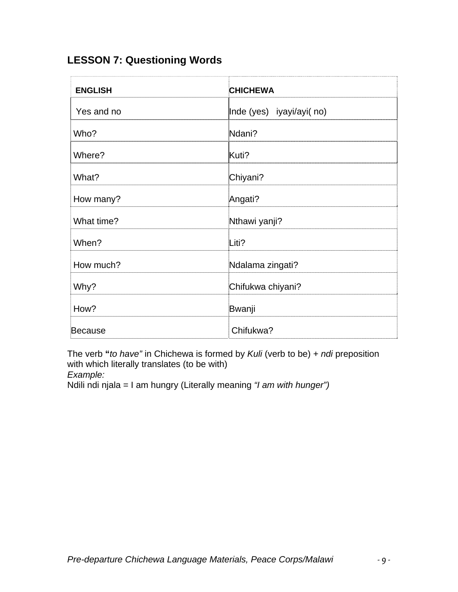# **LESSON 7: Questioning Words**

| <b>ENGLISH</b> | <b>CHICHEWA</b>          |
|----------------|--------------------------|
| Yes and no     | Inde (yes) iyayi/ayi(no) |
| Who?           | Ndani?                   |
| Where?         | Kuti?                    |
| What?          | Chiyani?                 |
| How many?      | Angati?                  |
| What time?     | Nthawi yanji?            |
| When?          | Liti?                    |
| How much?      | Ndalama zingati?         |
| Why?           | Chifukwa chiyani?        |
| How?           | Bwanji                   |
| <b>Because</b> | Chifukwa?                |

The verb **"***to have"* in Chichewa is formed by *Kuli* (verb to be) *+ ndi* preposition with which literally translates (to be with)

*Example:* 

Ndili ndi njala = I am hungry (Literally meaning *"I am with hunger")*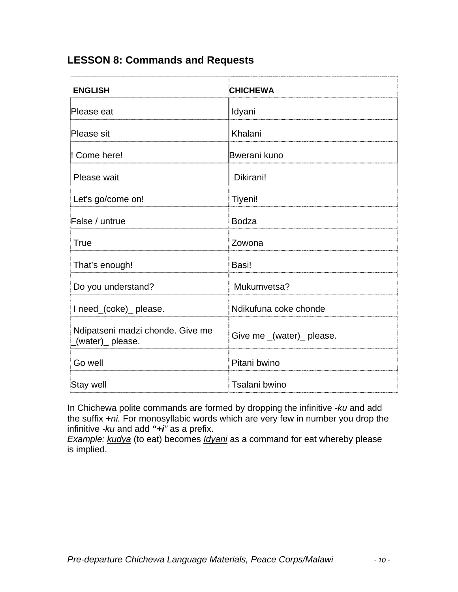### **LESSON 8: Commands and Requests**

| <b>ENGLISH</b>                                       | <b>CHICHEWA</b>           |
|------------------------------------------------------|---------------------------|
| Please eat                                           | Idyani                    |
| Please sit                                           | Khalani                   |
| Come here!                                           | Bwerani kuno              |
| Please wait                                          | Dikirani!                 |
| Let's go/come on!                                    | Tiyeni!                   |
| False / untrue                                       | <b>Bodza</b>              |
| True                                                 | Zowona                    |
| That's enough!                                       | Basi!                     |
| Do you understand?                                   | Mukumvetsa?               |
| I need_(coke)_ please.                               | Ndikufuna coke chonde     |
| Ndipatseni madzi chonde. Give me<br>(water)_ please. | Give me _(water)_ please. |
| Go well                                              | Pitani bwino              |
| Stay well                                            | Tsalani bwino             |

In Chichewa polite commands are formed by dropping the infinitive *-ku* and add the suffix *+ni.* For monosyllabic words which are very few in number you drop the infinitive *-ku* and add *"+i"* as a prefix.

*Example: kudya* (to eat) becomes *Idyani* as a command for eat whereby please is implied.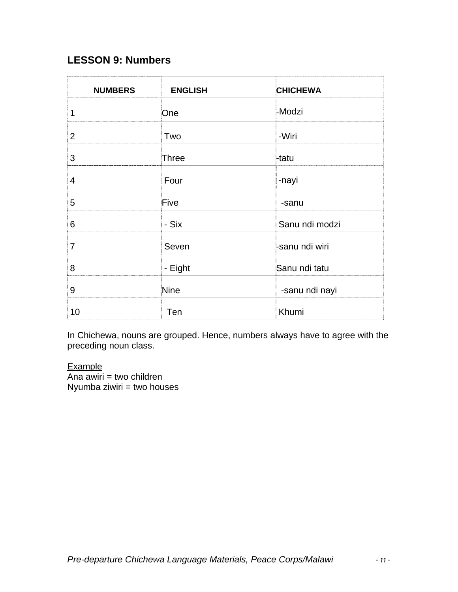### **LESSON 9: Numbers**

| <b>NUMBERS</b> | <b>ENGLISH</b> | <b>CHICHEWA</b> |
|----------------|----------------|-----------------|
| 1              | One            | -Modzi          |
| 2              | Two            | -Wiri           |
| 3              | Three          | -tatu           |
| $\overline{4}$ | Four           | -nayi           |
| 5              | Five           | -sanu           |
| 6              | - Six          | Sanu ndi modzi  |
| $\overline{7}$ | Seven          | -sanu ndi wiri  |
| 8              | - Eight        | Sanu ndi tatu   |
| 9              | Nine           | -sanu ndi nayi  |
| 10             | Ten            | Khumi           |

In Chichewa, nouns are grouped. Hence, numbers always have to agree with the preceding noun class.

**Example** 

 $\overline{A}$ na <u>a</u>wiri = two children  $N$ yumba ziwiri = two houses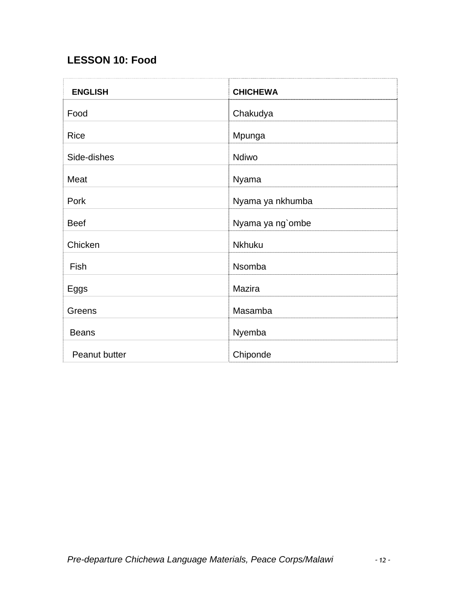## **LESSON 10: Food**

| <b>ENGLISH</b> | <b>CHICHEWA</b>  |
|----------------|------------------|
| Food           | Chakudya         |
| <b>Rice</b>    | Mpunga           |
| Side-dishes    | Ndiwo            |
| Meat           | Nyama            |
| Pork           | Nyama ya nkhumba |
| <b>Beef</b>    | Nyama ya ng`ombe |
| Chicken        | <b>Nkhuku</b>    |
| Fish           | Nsomba           |
| Eggs           | Mazira           |
| Greens         | Masamba          |
| <b>Beans</b>   | Nyemba           |
| Peanut butter  | Chiponde         |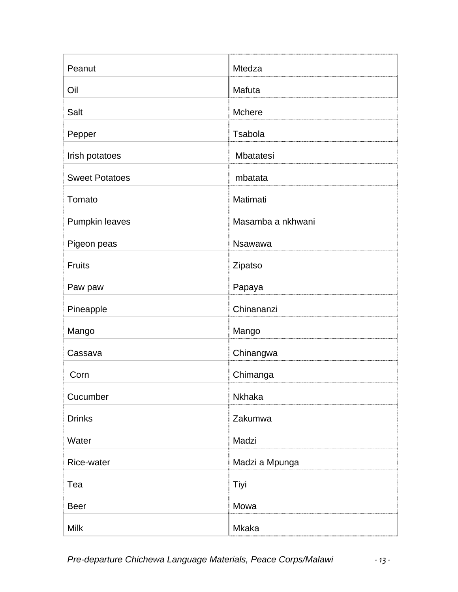| Peanut                | Mtedza            |
|-----------------------|-------------------|
| Oil                   | Mafuta            |
| Salt                  | Mchere            |
| Pepper                | <b>Tsabola</b>    |
| Irish potatoes        | Mbatatesi         |
| <b>Sweet Potatoes</b> | mbatata           |
| Tomato                | Matimati          |
| Pumpkin leaves        | Masamba a nkhwani |
| Pigeon peas           | <b>Nsawawa</b>    |
| <b>Fruits</b>         | Zipatso           |
| Paw paw               | Papaya            |
| Pineapple             | Chinananzi        |
| Mango                 | Mango             |
| Cassava               | Chinangwa         |
| Corn                  | Chimanga          |
| Cucumber              | Nkhaka            |
| <b>Drinks</b>         | Zakumwa           |
| Water                 | Madzi             |
| Rice-water            | Madzi a Mpunga    |
| Tea                   | Tiyi              |
| <b>Beer</b>           | Mowa              |
| Milk                  | <b>Mkaka</b>      |

*Pre-departure Chichewa Language Materials, Peace Corps/Malawi ‐ 13 ‐*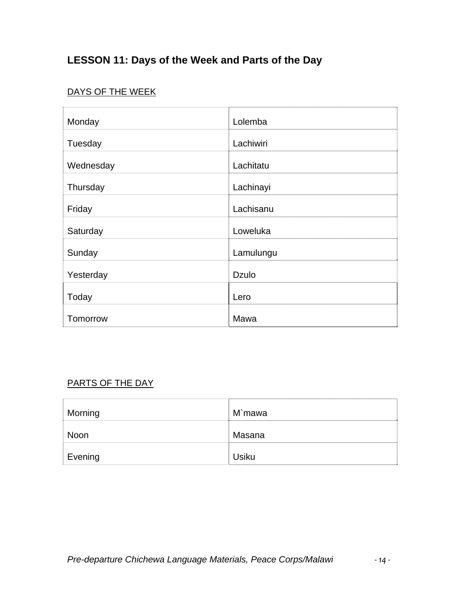# **LESSON 11: Days of the Week and Parts of the Day**

## DAYS OF THE WEEK

| Monday    | Lolemba      |
|-----------|--------------|
| Tuesday   | Lachiwiri    |
| Wednesday | Lachitatu    |
| Thursday  | Lachinayi    |
| Friday    | Lachisanu    |
| Saturday  | Loweluka     |
| Sunday    | Lamulungu    |
| Yesterday | <b>Dzulo</b> |
| Today     | Lero         |
| Tomorrow  | Mawa         |

#### PARTS OF THE DAY

| Morning | M`mawa       |
|---------|--------------|
| Noon    | Masana       |
| Evening | <b>Usiku</b> |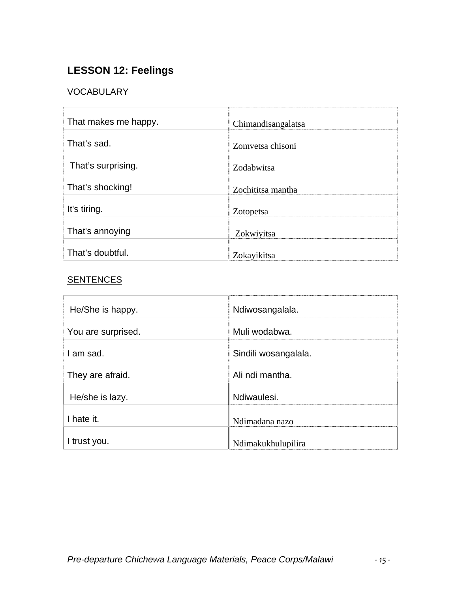## **LESSON 12: Feelings**

#### VOCABULARY

| That makes me happy. | Chimandisangalatsa |
|----------------------|--------------------|
| That's sad.          | Zomvetsa chisoni   |
| That's surprising.   | Zodabwitsa         |
| That's shocking!     | Zochititsa mantha  |
| It's tiring.         | Zotopetsa          |
| That's annoying      | Zokwiyitsa         |
| That's doubtful.     | Zokayikitsa        |

### **SENTENCES**

| He/She is happy.   | Ndiwosangalala.      |
|--------------------|----------------------|
| You are surprised. | Muli wodabwa.        |
| I am sad.          | Sindili wosangalala. |
| They are afraid.   | Ali ndi mantha.      |
| He/she is lazy.    | Ndiwaulesi.          |
| I hate it.         | Ndimadana nazo       |
| I trust you.       | Ndimakukhulupilira   |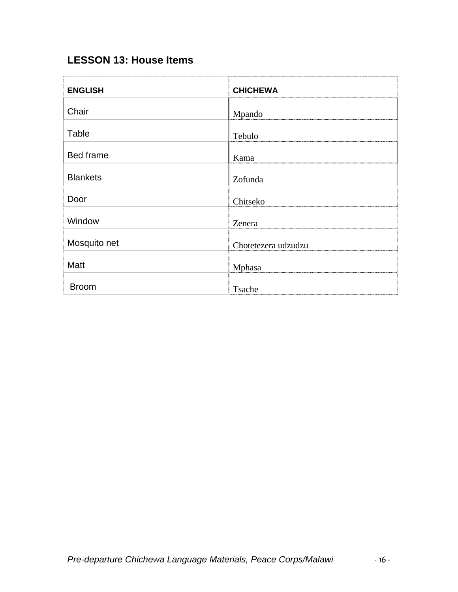## **LESSON 13: House Items**

| <b>ENGLISH</b>   | <b>CHICHEWA</b>     |
|------------------|---------------------|
| Chair            | Mpando              |
| Table            | Tebulo              |
| <b>Bed frame</b> | Kama                |
| <b>Blankets</b>  | Zofunda             |
| Door             | Chitseko            |
| Window           | Zenera              |
| Mosquito net     | Chotetezera udzudzu |
| Matt             | Mphasa              |
| <b>Broom</b>     | Tsache              |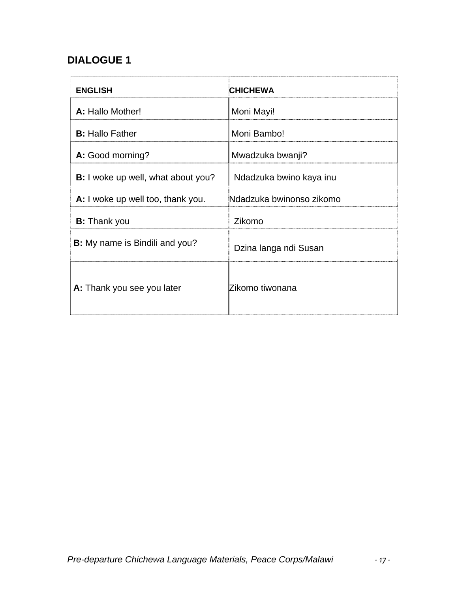## **DIALOGUE 1**

| <b>ENGLISH</b>                            | <b>CHICHEWA</b>          |
|-------------------------------------------|--------------------------|
| A: Hallo Mother!                          | Moni Mayi!               |
| <b>B:</b> Hallo Father                    | Moni Bambo!              |
| A: Good morning?                          | Mwadzuka bwanji?         |
| <b>B:</b> I woke up well, what about you? | Ndadzuka bwino kaya inu  |
| A: I woke up well too, thank you.         | Ndadzuka bwinonso zikomo |
| <b>B:</b> Thank you                       | Zikomo                   |
| <b>B:</b> My name is Bindili and you?     | Dzina langa ndi Susan    |
| A: Thank you see you later                | Zikomo tiwonana          |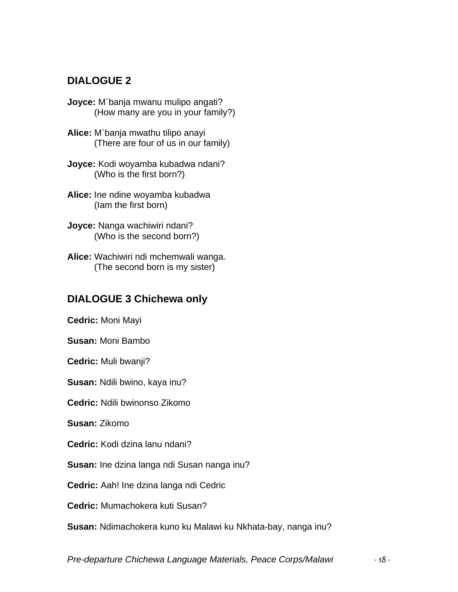### **DIALOGUE 2**

- **Joyce:** M`banja mwanu mulipo angati? (How many are you in your family?)
- **Alice:** M`banja mwathu tilipo anayi (There are four of us in our family)
- **Joyce:** Kodi woyamba kubadwa ndani? (Who is the first born?)
- **Alice:** Ine ndine woyamba kubadwa (Iam the first born)
- **Joyce:** Nanga wachiwiri ndani? (Who is the second born?)
- **Alice:** Wachiwiri ndi mchemwali wanga. (The second born is my sister)

#### **DIALOGUE 3 Chichewa only**

**Cedric:** Moni Mayi

**Susan:** Moni Bambo

**Cedric:** Muli bwanji?

**Susan:** Ndili bwino, kaya inu?

**Cedric:** Ndili bwinonso Zikomo

**Susan:** Zikomo

**Cedric:** Kodi dzina lanu ndani?

**Susan:** Ine dzina langa ndi Susan nanga inu?

**Cedric:** Aah! Ine dzina langa ndi Cedric

**Cedric:** Mumachokera kuti Susan?

**Susan:** Ndimachokera kuno ku Malawi ku Nkhata-bay, nanga inu?

*Pre-departure Chichewa Language Materials, Peace Corps/Malawi ‐ 18 ‐*